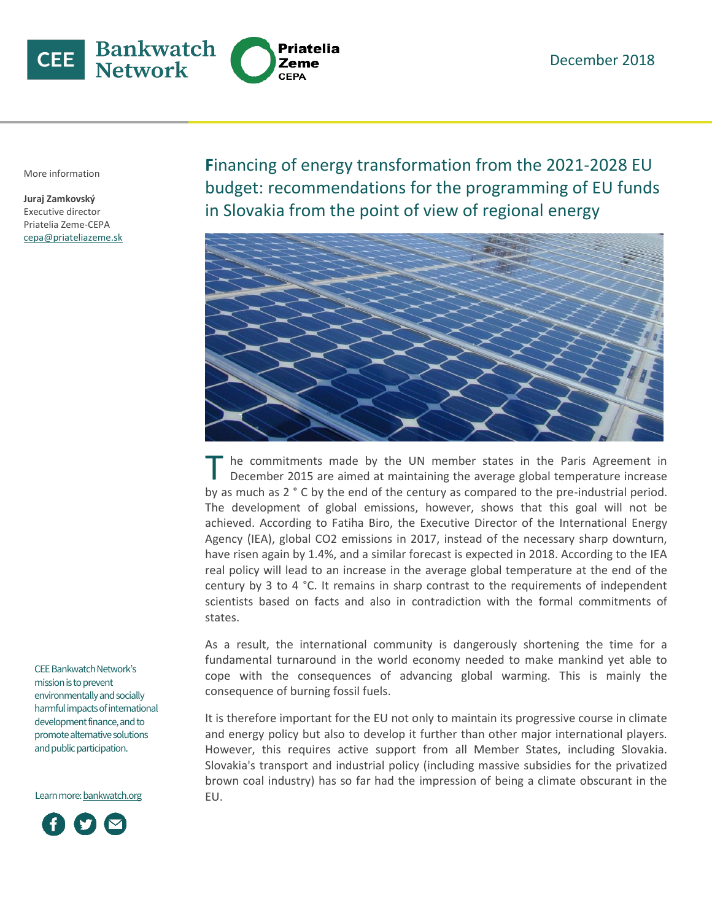

More information

**Juraj Zamkovský** Executive director Priatelia Zeme-CEPA cepa@priateliazeme.sk **F**inancing of energy transformation from the 2021-2028 EU budget: recommendations for the programming of EU funds in Slovakia from the point of view of regional energy



he commitments made by the UN member states in the Paris Agreement in December 2015 are aimed at maintaining the average global temperature increase by as much as 2 ° C by the end of the century as compared to the pre-industrial period. The development of global emissions, however, shows that this goal will not be achieved. According to Fatiha Biro, the Executive Director of the International Energy Agency (IEA), global CO2 emissions in 2017, instead of the necessary sharp downturn, have risen again by 1.4%, and a similar forecast is expected in 2018. According to the IEA real policy will lead to an increase in the average global temperature at the end of the century by 3 to 4 °C. It remains in sharp contrast to the requirements of independent scientists based on facts and also in contradiction with the formal commitments of states. T

As a result, the international community is dangerously shortening the time for a fundamental turnaround in the world economy needed to make mankind yet able to cope with the consequences of advancing global warming. This is mainly the consequence of burning fossil fuels.

It is therefore important for the EU not only to maintain its progressive course in climate and energy policy but also to develop it further than other major international players. However, this requires active support from all Member States, including Slovakia. Slovakia's transport and industrial policy (including massive subsidies for the privatized brown coal industry) has so far had the impression of being a climate obscurant in the EU.

CEE Bankwatch Network's mission is to prevent environmentally and socially harmful impacts of international development finance, and to promote alternative solutions and public participation.

Learn more[: bankwatch.org](http://bankwatch.org/)

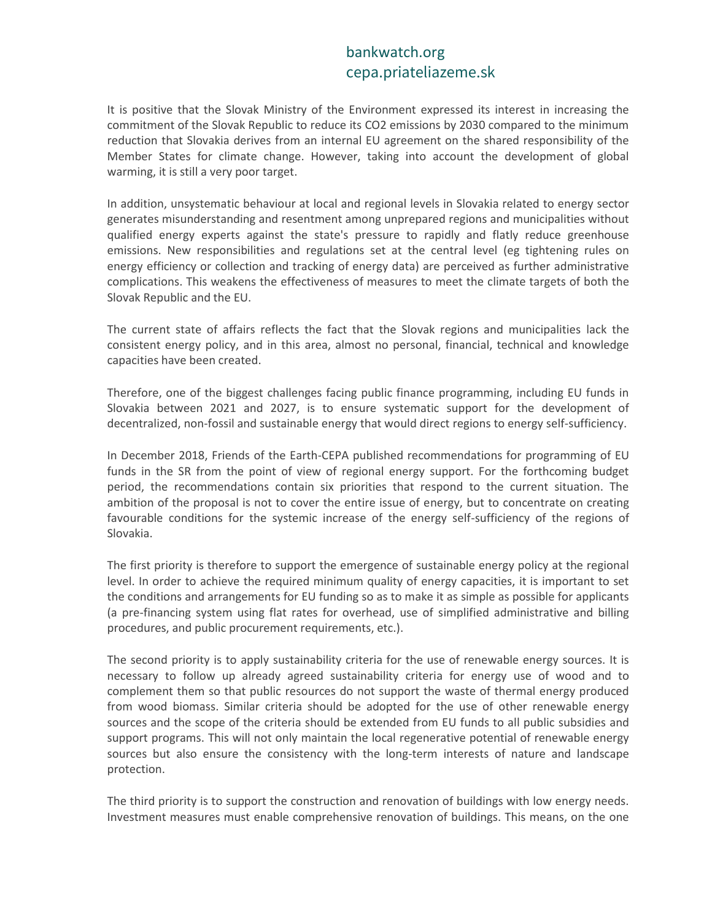## bankwatch.org cepa.priateliazeme.sk

It is positive that the Slovak Ministry of the Environment expressed its interest in increasing the commitment of the Slovak Republic to reduce its CO2 emissions by 2030 compared to the minimum reduction that Slovakia derives from an internal EU agreement on the shared responsibility of the Member States for climate change. However, taking into account the development of global warming, it is still a very poor target.

In addition, unsystematic behaviour at local and regional levels in Slovakia related to energy sector generates misunderstanding and resentment among unprepared regions and municipalities without qualified energy experts against the state's pressure to rapidly and flatly reduce greenhouse emissions. New responsibilities and regulations set at the central level (eg tightening rules on energy efficiency or collection and tracking of energy data) are perceived as further administrative complications. This weakens the effectiveness of measures to meet the climate targets of both the Slovak Republic and the EU.

The current state of affairs reflects the fact that the Slovak regions and municipalities lack the consistent energy policy, and in this area, almost no personal, financial, technical and knowledge capacities have been created.

Therefore, one of the biggest challenges facing public finance programming, including EU funds in Slovakia between 2021 and 2027, is to ensure systematic support for the development of decentralized, non-fossil and sustainable energy that would direct regions to energy self-sufficiency.

In December 2018, Friends of the Earth-CEPA published recommendations for programming of EU funds in the SR from the point of view of regional energy support. For the forthcoming budget period, the recommendations contain six priorities that respond to the current situation. The ambition of the proposal is not to cover the entire issue of energy, but to concentrate on creating favourable conditions for the systemic increase of the energy self-sufficiency of the regions of Slovakia.

The first priority is therefore to support the emergence of sustainable energy policy at the regional level. In order to achieve the required minimum quality of energy capacities, it is important to set the conditions and arrangements for EU funding so as to make it as simple as possible for applicants (a pre-financing system using flat rates for overhead, use of simplified administrative and billing procedures, and public procurement requirements, etc.).

The second priority is to apply sustainability criteria for the use of renewable energy sources. It is necessary to follow up already agreed sustainability criteria for energy use of wood and to complement them so that public resources do not support the waste of thermal energy produced from wood biomass. Similar criteria should be adopted for the use of other renewable energy sources and the scope of the criteria should be extended from EU funds to all public subsidies and support programs. This will not only maintain the local regenerative potential of renewable energy sources but also ensure the consistency with the long-term interests of nature and landscape protection.

The third priority is to support the construction and renovation of buildings with low energy needs. Investment measures must enable comprehensive renovation of buildings. This means, on the one